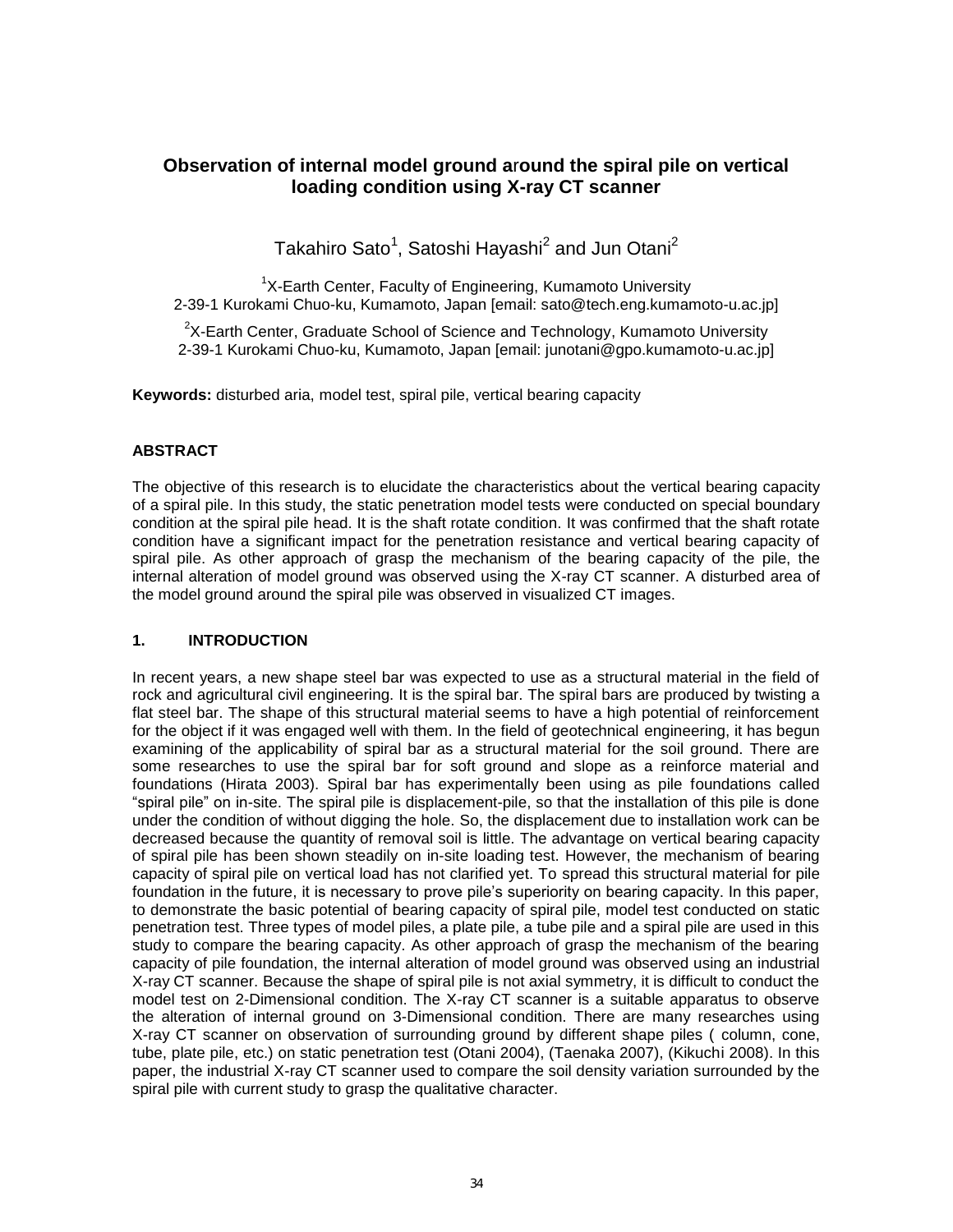# **Observation of internal model ground a**r**ound the spiral pile on vertical loading condition using X-ray CT scanner**

Takahiro Sato $^1$ , Satoshi Hayashi $^2$  and Jun Otani $^2$ 

<sup>1</sup>X-Earth Center, Faculty of Engineering, Kumamoto University 2-39-1 Kurokami Chuo-ku, Kumamoto, Japan [email: sato@tech.eng.kumamoto-u.ac.jp]

 $2$ X-Earth Center, Graduate School of Science and Technology, Kumamoto University 2-39-1 Kurokami Chuo-ku, Kumamoto, Japan [email: junotani@gpo.kumamoto-u.ac.jp]

**Keywords:** disturbed aria, model test, spiral pile, vertical bearing capacity

### **ABSTRACT**

The objective of this research is to elucidate the characteristics about the vertical bearing capacity of a spiral pile. In this study, the static penetration model tests were conducted on special boundary condition at the spiral pile head. It is the shaft rotate condition. It was confirmed that the shaft rotate condition have a significant impact for the penetration resistance and vertical bearing capacity of spiral pile. As other approach of grasp the mechanism of the bearing capacity of the pile, the internal alteration of model ground was observed using the X-ray CT scanner. A disturbed area of the model ground around the spiral pile was observed in visualized CT images.

### **1. INTRODUCTION**

In recent years, a new shape steel bar was expected to use as a structural material in the field of rock and agricultural civil engineering. It is the spiral bar. The spiral bars are produced by twisting a flat steel bar. The shape of this structural material seems to have a high potential of reinforcement for the object if it was engaged well with them. In the field of geotechnical engineering, it has begun examining of the applicability of spiral bar as a structural material for the soil ground. There are some researches to use the spiral bar for soft ground and slope as a reinforce material and foundations (Hirata 2003). Spiral bar has experimentally been using as pile foundations called "spiral pile" on in-site. The spiral pile is displacement-pile, so that the installation of this pile is done under the condition of without digging the hole. So, the displacement due to installation work can be decreased because the quantity of removal soil is little. The advantage on vertical bearing capacity of spiral pile has been shown steadily on in-site loading test. However, the mechanism of bearing capacity of spiral pile on vertical load has not clarified yet. To spread this structural material for pile foundation in the future, it is necessary to prove pile's superiority on bearing capacity. In this paper, to demonstrate the basic potential of bearing capacity of spiral pile, model test conducted on static penetration test. Three types of model piles, a plate pile, a tube pile and a spiral pile are used in this study to compare the bearing capacity. As other approach of grasp the mechanism of the bearing capacity of pile foundation, the internal alteration of model ground was observed using an industrial X-ray CT scanner. Because the shape of spiral pile is not axial symmetry, it is difficult to conduct the model test on 2-Dimensional condition. The X-ray CT scanner is a suitable apparatus to observe the alteration of internal ground on 3-Dimensional condition. There are many researches using X-ray CT scanner on observation of surrounding ground by different shape piles ( column, cone, tube, plate pile, etc.) on static penetration test (Otani 2004), (Taenaka 2007), (Kikuchi 2008). In this paper, the industrial X-ray CT scanner used to compare the soil density variation surrounded by the spiral pile with current study to grasp the qualitative character.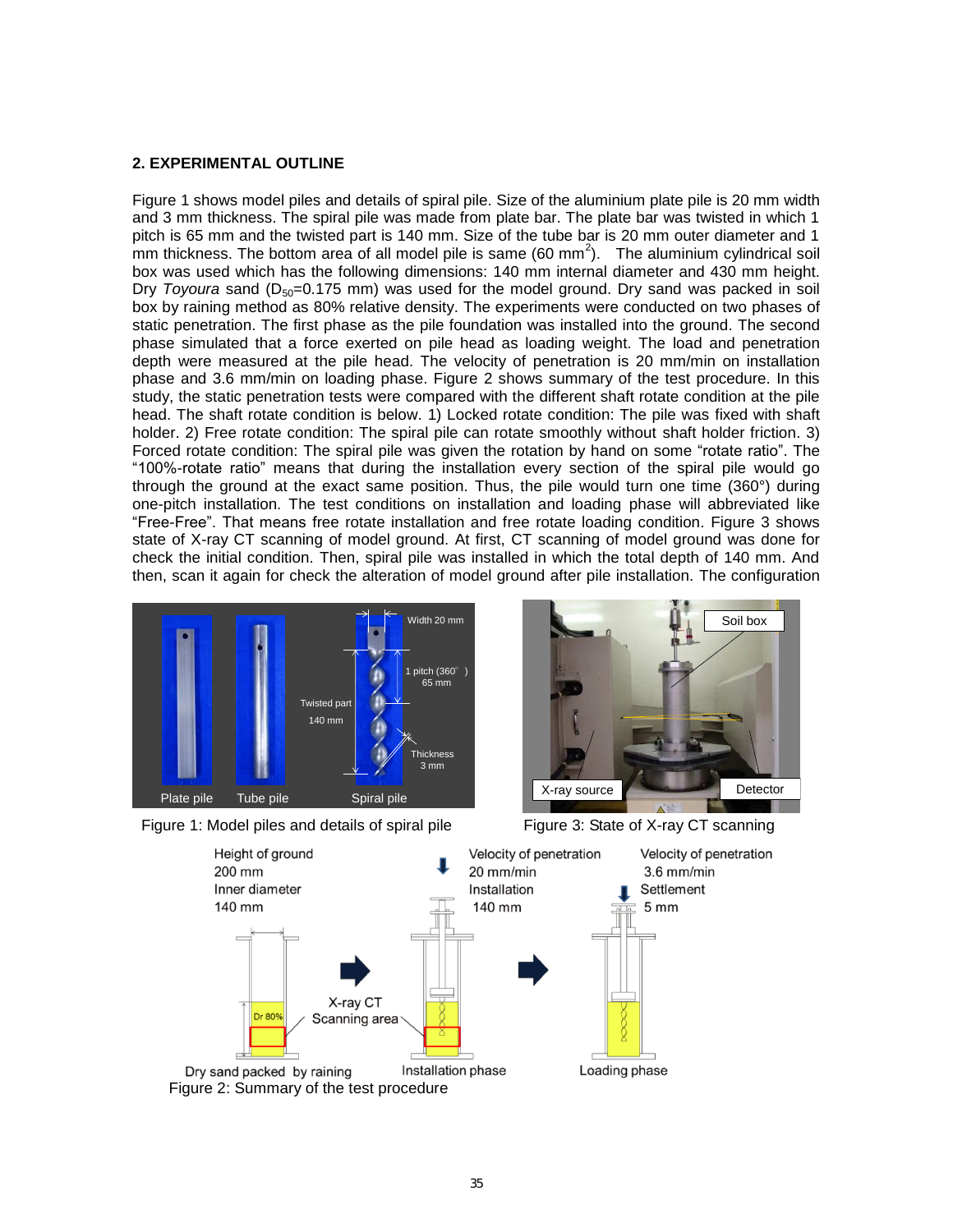#### **2. EXPERIMENTAL OUTLINE**

Figure 1 shows model piles and details of spiral pile. Size of the aluminium plate pile is 20 mm width and 3 mm thickness. The spiral pile was made from plate bar. The plate bar was twisted in which 1 pitch is 65 mm and the twisted part is 140 mm. Size of the tube bar is 20 mm outer diameter and 1 mm thickness. The bottom area of all model pile is same (60 mm<sup>2</sup>). The aluminium cylindrical soil box was used which has the following dimensions: 140 mm internal diameter and 430 mm height. Dry *Toyoura* sand (D<sub>50</sub>=0.175 mm) was used for the model ground. Dry sand was packed in soil box by raining method as 80% relative density. The experiments were conducted on two phases of static penetration. The first phase as the pile foundation was installed into the ground. The second phase simulated that a force exerted on pile head as loading weight. The load and penetration depth were measured at the pile head. The velocity of penetration is 20 mm/min on installation phase and 3.6 mm/min on loading phase. Figure 2 shows summary of the test procedure. In this study, the static penetration tests were compared with the different shaft rotate condition at the pile head. The shaft rotate condition is below. 1) Locked rotate condition: The pile was fixed with shaft holder. 2) Free rotate condition: The spiral pile can rotate smoothly without shaft holder friction. 3) Forced rotate condition: The spiral pile was given the rotation by hand on some "rotate ratio". The "100%-rotate ratio" means that during the installation every section of the spiral pile would go through the ground at the exact same position. Thus, the pile would turn one time (360°) during one-pitch installation. The test conditions on installation and loading phase will abbreviated like "Free-Free". That means free rotate installation and free rotate loading condition. Figure 3 shows state of X-ray CT scanning of model ground. At first, CT scanning of model ground was done for check the initial condition. Then, spiral pile was installed in which the total depth of 140 mm. And then, scan it again for check the alteration of model ground after pile installation. The configuration







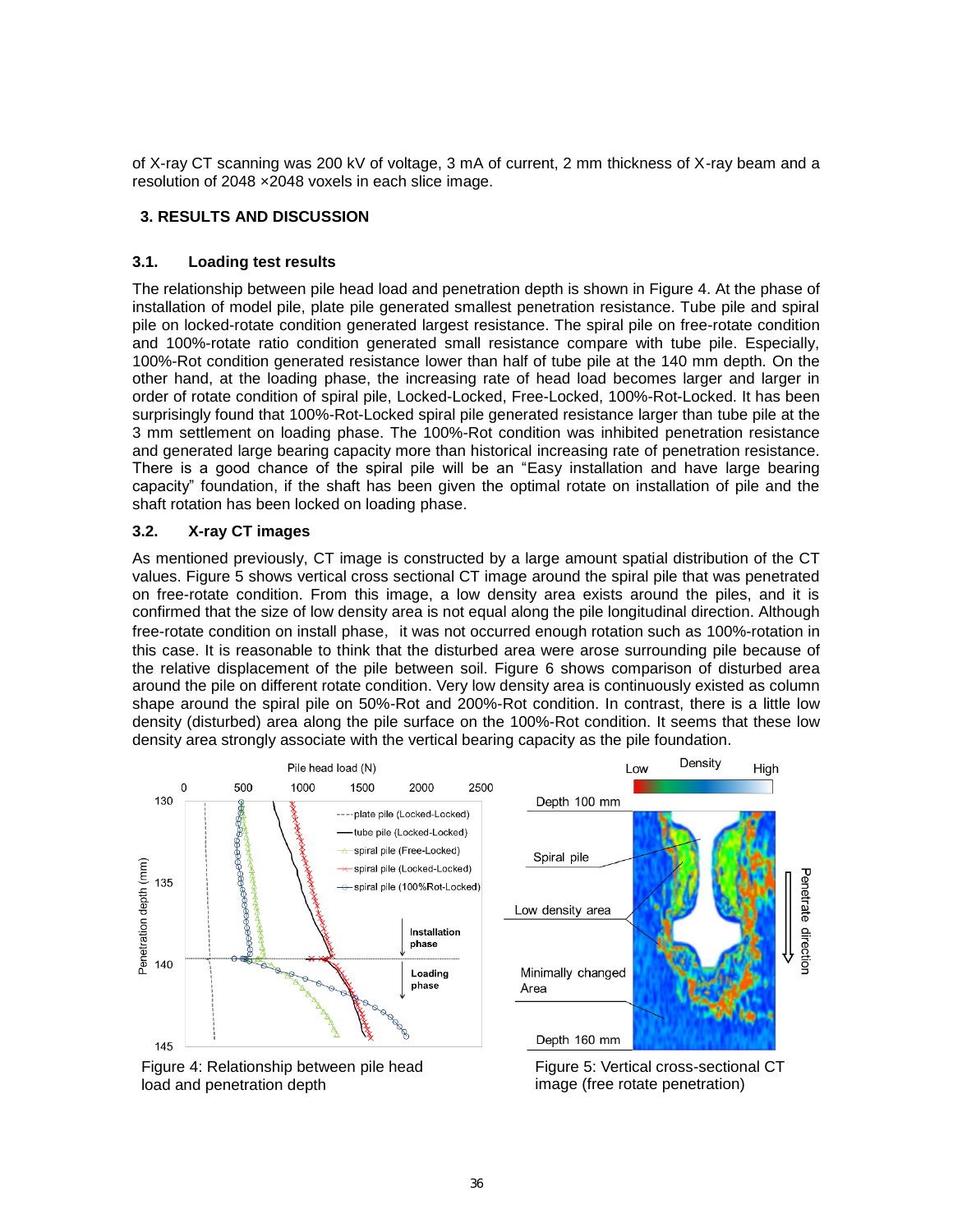of X-ray CT scanning was 200 kV of voltage, 3 mA of current, 2 mm thickness of X-ray beam and a resolution of 2048 ×2048 voxels in each slice image.

## **3. RESULTS AND DISCUSSION**

### **3.1. Loading test results**

The relationship between pile head load and penetration depth is shown in Figure 4. At the phase of installation of model pile, plate pile generated smallest penetration resistance. Tube pile and spiral pile on locked-rotate condition generated largest resistance. The spiral pile on free-rotate condition and 100%-rotate ratio condition generated small resistance compare with tube pile. Especially, 100%-Rot condition generated resistance lower than half of tube pile at the 140 mm depth. On the other hand, at the loading phase, the increasing rate of head load becomes larger and larger in order of rotate condition of spiral pile, Locked-Locked, Free-Locked, 100%-Rot-Locked. It has been surprisingly found that 100%-Rot-Locked spiral pile generated resistance larger than tube pile at the 3 mm settlement on loading phase. The 100%-Rot condition was inhibited penetration resistance and generated large bearing capacity more than historical increasing rate of penetration resistance. There is a good chance of the spiral pile will be an "Easy installation and have large bearing capacity" foundation, if the shaft has been given the optimal rotate on installation of pile and the shaft rotation has been locked on loading phase.

### **3.2. X-ray CT images**

As mentioned previously, CT image is constructed by a large amount spatial distribution of the CT values. Figure 5 shows vertical cross sectional CT image around the spiral pile that was penetrated on free-rotate condition. From this image, a low density area exists around the piles, and it is confirmed that the size of low density area is not equal along the pile longitudinal direction. Although free-rotate condition on install phase, it was not occurred enough rotation such as 100%-rotation in this case. It is reasonable to think that the disturbed area were arose surrounding pile because of the relative displacement of the pile between soil. Figure 6 shows comparison of disturbed area around the pile on different rotate condition. Very low density area is continuously existed as column shape around the spiral pile on 50%-Rot and 200%-Rot condition. In contrast, there is a little low density (disturbed) area along the pile surface on the 100%-Rot condition. It seems that these low density area strongly associate with the vertical bearing capacity as the pile foundation.



Figure 4: Relationship between pile head load and penetration depth

Figure 5: Vertical cross-sectional CT image (free rotate penetration)